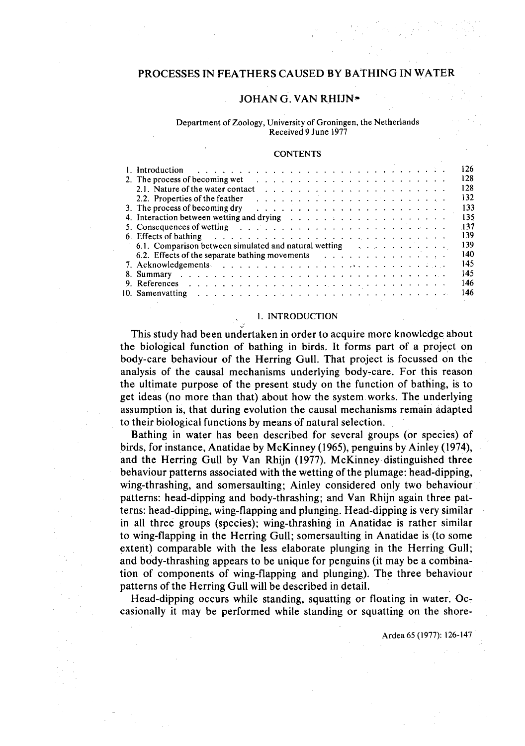# PROCESSES IN FEATHERS CAUSED BY BATHING IN WATER

# JOHAN G. VAN RHIJN\*

### Department of Zoology, University of Groningen, the Netherlands Received 9 June 1977

## **CONTENTS**

| 1. Introduction                                                                                                                                                                                                                | 126 |
|--------------------------------------------------------------------------------------------------------------------------------------------------------------------------------------------------------------------------------|-----|
| 2. The process of becoming wet                                                                                                                                                                                                 | 128 |
| 2.1. Nature of the water contact                                                                                                                                                                                               | 128 |
| 2.2. Properties of the feather                                                                                                                                                                                                 | 132 |
|                                                                                                                                                                                                                                | 133 |
|                                                                                                                                                                                                                                | 135 |
| 5. Consequences of wetting $\cdots$ . $\cdots$ . $\cdots$ . $\cdots$ . $\cdots$ . $\cdots$ . $\cdots$ . $\cdots$                                                                                                               | 137 |
| 6. Effects of bathing entering the state of the state of the state of the state of the state of the state of the state of the state of the state of the state of the state of the state of the state of the state of the state | 139 |
| $6.1.$ Comparison between simulated and natural wetting $\ldots$ , $\ldots$ , $\ldots$                                                                                                                                         | 139 |
| 6.2. Effects of the separate bathing movements $\cdots$                                                                                                                                                                        | 140 |
|                                                                                                                                                                                                                                | 145 |
|                                                                                                                                                                                                                                | 145 |
|                                                                                                                                                                                                                                | 146 |
| ومراجع والمتابع والمتاحين والمتاحين والمتاحين والمتاحين والمتاح والمتاحي والمتاحين والمتاحين والمتاحين<br>10. Samenvatting                                                                                                     | 146 |

### I. INTRODUCTION

This study had been undertaken in order to acquire more knowledge about the biological function of bathing in birds. It forms part of a project on body-care behaviour of the Herring Gull. That project is focussed on the analysis of the causal mechanisms underlying body-care. For this reason the ultimate purpose of the present study on the function of bathing, is to get ideas (no more than that) about how the system works. The underlying assumption is, that during evolution the causal mechanisms remain adapted to their biological functions by means of natural selection.

Bathing in water has been described for several groups (or species) of birds, for instance, Anatidae by McKinney (1965), penguins by Ainley (1974), and the Herring Gull by Van Rhijn (1977). McKinney distinguished three behaviour patterns associated with the wetting of the plumage: head~dipping, wing-thrashing, and somersaulting; Ainley considered only two behaviour patterns: head-dipping and body-thrashing; and Van Rhijn again three patterns: head-dipping, wing-flapping and plunging. Head-dipping is very similar in all three groups (species); wing-thrashing in Anatidae is rather similar to wing-flapping in the Herring Gull; somersaulting in Anatidae is (to some extent) comparable with the less elaborate plunging in the Herring Gull; and body-thrashing appears to be unique for penguins (it may be a combination of components of wing-flapping and plunging). The three behaviour patterns of the Herring Gull will be described in detail.

Head-dipping occurs while standing, squatting or floating in water. Occasionally it may be performed while standing or squatting on the shore-

Ardea65 (1977): 126-147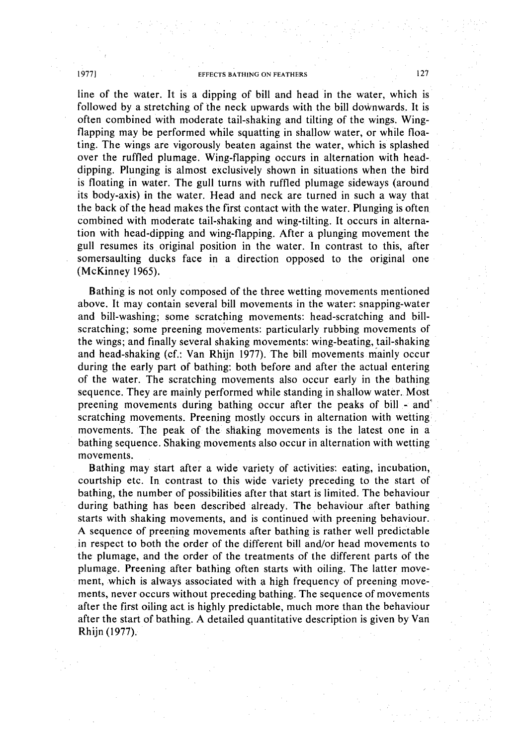line of the water. It is a dipping of bill and head in the water, which is followed by a stretching of the neck upwards with the bill downwards. It is often combined with moderate tail-shaking and tilting of the wings. Wingflapping may be performed while squatting in shallow water, or while floating. The wings are vigorously beaten against the water, which is splashed over the ruffled plumage. Wing-flapping occurs in alternation with headdipping. Plunging is almost exclusively shown in situations when the bird is floating in water. The gull turns with ruffled plumage sideways (around its body-axis) in the water. Head and neck are turned in such a way that the back of the head makes the first contact with the water. Plunging is often combined with moderate tail-shaking and wing-tilting. It occurs in alternation with head-dipping and wing-flapping. After a plunging movement the gull resumes its original position in the water. In contrast to this, after somersaulting ducks face in a direction opposed to the original one (McKinney 1965).

Bathing is not only composed of the three wetting movements mentioned above. It may contain several bill movements in the water: snapping-water and bill-washing; some scratching movements: head-scratching and billscratching; some preening movements: particularly rubbing movements of the wings; and finally several shaking movements: wing-beating, tail-shaking and head-shaking (cf.: Van Rhijn 1977). The bill movements mainly occur during the early part of bathing: both before and after the actual entering of the water. The scratching movements also occur early in the bathing sequence. They are mainly performed while standing in shallow water. Most preening movements during bathing occur after the peaks of bill  $\sim$  and  $\sim$ scratching movements. Preening mostly occurs in alternation with wetting movements. The peak of the shaking movements is the latest one in a bathing sequence. Shaking movements also occur in alternation with wetting movements.

Bathing may start after a wide variety of activities: eating, incubation, courtship etc. In contrast to this wide variety preceding to the start of bathing, the number of possibilities after that start is limited. The behaviour during bathing has been described already. The behaviour after bathing starts with shaking movements, and is continued with preening behaviour. A sequence of preening movements after bathing is rather well predictable in respect to both the order of the different bill and/or head movements to the plumage, and the order of the treatments of the different parts of the plumage. Preening after bathing often starts with oiling. The latter movement, which is always associated with a high frequency of preening movements, never occurs without preceding bathing. The sequence of movements after the first oiling act is highly predictable, much more than the behaviour after the start of bathing. A detailed quantitative description is given by Van Rhijn (1977).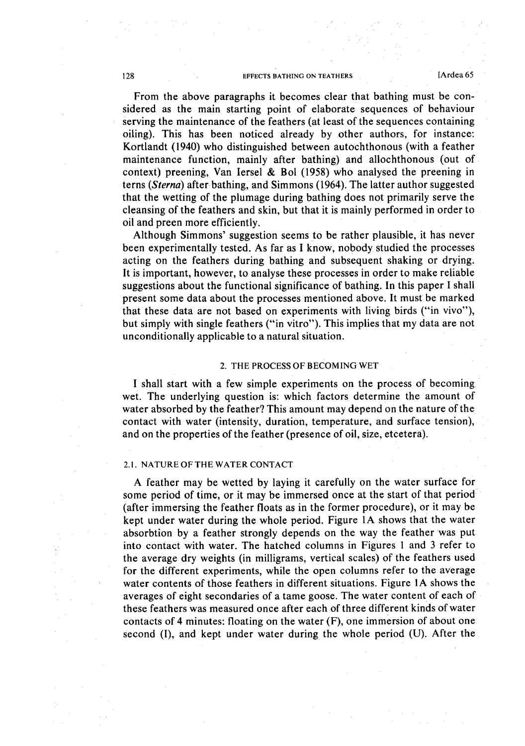From the above paragraphs it becomes clear that bathing must be considered as the main starting point of elaborate sequences of behaviour serving the maintenance of the feathers (at least of the sequences containing oiling). This has been noticed already by other authors, for instance: Kortlandt (1940) who distinguished between autochthonous (with a feather maintenance function, mainly after bathing) and allochthonous (out of context) preening, Van lersel & Bol (1958) who analysed the preening in terns *(Sterna)* after bathing, and Simmons (1964). The latter author suggested that the wetting of the plumage during bathing does not primarily serve the cleansing of the feathers and skin, but that it is mainly performed in order to oil and preen more efficiently.

Although Simmons' suggestion seems to be rather plausible, it has never been experimentally tested. As far as I know, nobody studied the processes acting on the feathers during bathing and subsequent shaking or drying. It is important, however, to analyse these processes in order to make reliable suggestions about the functional significance of bathing. In this paper I shall present some data about the processes mentioned above. It must be marked that these data are not based on experiments with living birds ("in vivo"), but simply with single feathers ("in vitro"). This implies that my data are not unconditionally applicable to a natural situation.

### 2. THE PROCESS OF BECOMING WET

I shall start with a few simple experiments on the process of becoming wet. The underlying question is: which factors determine the amount of water absorbed by the feather? This amount may depend on the nature of the contact with water (intensity, duration, temperature, and surface tension), and on the properties of the feather (presence of oil, size, etcetera).

#### 2.1. NATURE OFTHE WATER CONTACT

A feather may be wetted by laying it carefully on the water surface for some period of time, or it may be immersed once at the start of that period (after immersing the feather floats as in the former procedure), or it may be kept under water during the whole period. Figure lA shows that the water absorbtion by a feather strongly depends on the way the feather was put into contact with water. The hatched columns in Figures 1 and 3 refer to the average dry weights (in milligrams, vertical scales) of the feathers used for the different experiments, while the open columns refer to the average water contents of those feathers in different situations. Figure lA shows the averages of eight secondaries of a tame goose. The water content of each of these feathers was measured once after each of three different kinds of water contacts of 4 minutes: floating on the water (F), one immersion of about one second (I), and kept under water during the whole period (U). After the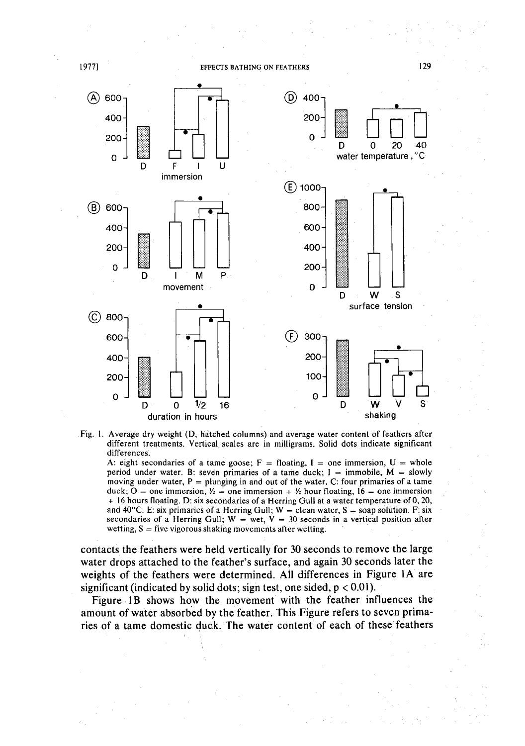

Fig. 1. Average dry weight (D, hatched columns) and average water content of feathers after different treatments. Vertical scales are in milligrams. Solid dots indicate significant differences.

A: eight secondaries of a tame goose;  $F =$  floating, I = one immersion, U = whole period under water. B: seven primaries of a tame duck;  $I =$  immobile,  $M =$  slowly moving under water,  $P =$  plunging in and out of the water. C: four primaries of a tame duck;  $O =$  one immersion,  $\frac{1}{2}$  = one immersion +  $\frac{1}{2}$  hour floating,  $16$  = one immersion + 16 hours floating. D: six secondaries of a Herring Gull at a water temperature of 0, 20, and 40 $^{\circ}$ C. E: six primaries of a Herring Gull; W = clean water, S = soap solution. F: six secondaries of a Herring Gull;  $W = wet$ ,  $V = 30$  seconds in a vertical position after wetting,  $S =$  five vigorous shaking movements after wetting.

contacts the feathers were held vertically for 30 seconds to remove the large water drops attached to the feather's surface, and again 30 seconds later the weights of the feathers were determined. All differences in Figure lA are significant (indicated by solid dots; sign test, one sided,  $p < 0.01$ ).

Figure 1B shows how the movement with the feather influences the amount of water absorbed by the feather. This Figure refers to seven primaries of a tame domestic duck. The water content of each of these feathers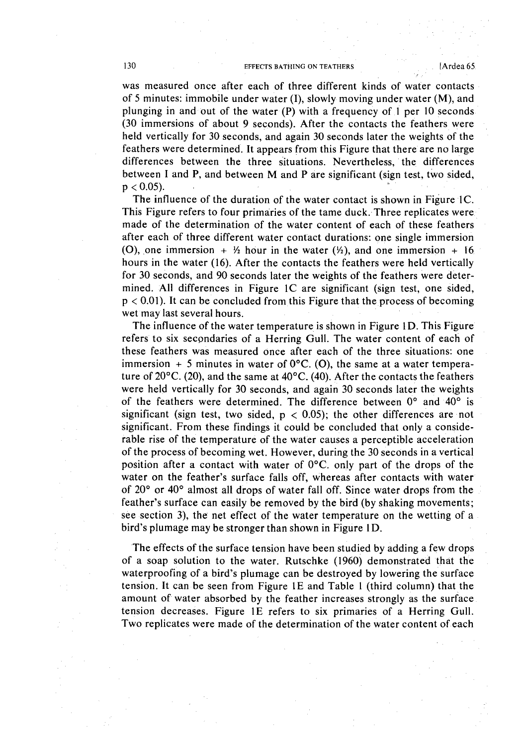was measured once after each of three different kinds of water contacts of 5 minutes: immobile under water (I), slowly moving under water (M), and plunging in and out of the water (P) with a frequency of I per 10 seconds (30 immersions of about 9 seconds). After the contacts the feathers were held vertically for 30 seconds, and again 30 seconds later the weights of the feathers were determined. It appears from this Figure that there are no large differences between the three situations. Nevertheless, the differences between 1 and P, and between M and P are significant (sign test, two sided,  $p < 0.05$ ).

The influence of the duration of the water contact is shown in Figure IC. This Figure refers to four primaries of the tame duck. Three replicates were made of the determination of the water content of each of these feathers after each of three different water contact durations: one single immersion (0), one immersion +  $\frac{1}{2}$  hour in the water  $(\frac{1}{2})$ , and one immersion + 16 hours in the water (16). After the contacts the feathers were held vertically for 30 seconds, and 90 seconds later the weights of the feathers were determined. All differences in Figure IC are significant (sign test, one sided,  $p < 0.01$ ). It can be concluded from this Figure that the process of becoming wet may last several hours.

The influence of the water temperature is shown in Figure 1D. This Figure refers to six secondaries of a Herring Gull. The water content of each of these feathers was measured once after each of the three situations: one immersion + 5 minutes in water of  $0^{\circ}$ C. (O), the same at a water temperature of 20°C. (20), and the same at 40°C. (40). After the contacts the feathers were held vertically for 30 seconds, and again 30 seconds later the weights of the feathers were determined. The difference between 0° and 40° is significant (sign test, two sided,  $p < 0.05$ ); the other differences are not significant. From these findings it could be concluded that only a considerable rise of the temperature of the water causes a perceptible acceleration of the process of becoming wet. However, during the 30 seconds in a vertical position after a contact with water of O°C. only part of the drops of the water on the feather's surface falls off, whereas after contacts with water of 20° or 40° almost all drops of water fall off. Since water drops from the feather's surface can easily be removed by the bird (by shaking movements; see section 3), the net effect of the water temperature on the wetting of a bird's plumage may be stronger than shown in Figure ID.

The effects of the surface tension have been studied by adding a few drops of a soap solution to the water. Rutschke (1960) demonstrated that the waterproofing of a bird's plumage can be destroyed by lowering the surface tension. It can be seen from Figure IE and Table I (third column) that the amount of water absorbed by the feather increases strongly as the surface tension decreases. Figure IE refers to six primaries of a Herring Gull. Two replicates were made of the determination of the water content of each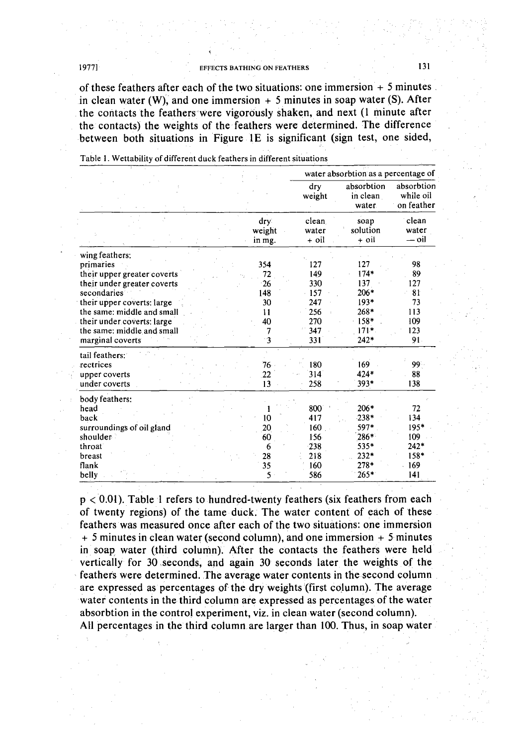of these feathers after each of the two situations: one immersion  $+5$  minutes. in clean water (W), and one immersion  $+5$  minutes in soap water (S). After the contacts the feathers'were vigorously shaken, and next (l minute after the contacts) the weights of the feathers were determined. The difference between both situations in Figure 1E is significant (sign test, one sided,

|                                                                                                                                                                                                                                                      |                                                                          |                                                             | water absorbtion as a percentage of                                        |                                                          |  |
|------------------------------------------------------------------------------------------------------------------------------------------------------------------------------------------------------------------------------------------------------|--------------------------------------------------------------------------|-------------------------------------------------------------|----------------------------------------------------------------------------|----------------------------------------------------------|--|
|                                                                                                                                                                                                                                                      |                                                                          | dry<br>weight                                               | absorbtion<br>in clean<br>water                                            | absorbtion<br>while oil<br>on feather                    |  |
|                                                                                                                                                                                                                                                      | dry<br>weight<br>in mg.                                                  | clean<br>water<br>+ oil                                     | soap<br>solution<br>+ oil                                                  | clean<br>water<br>— oil                                  |  |
| wing feathers:<br>primaries<br>their upper greater coverts<br>their under greater coverts<br>secondaries<br>their upper coverts: large<br>the same: middle and small<br>their under coverts: large<br>the same: middle and small<br>marginal coverts | 354<br>72<br>26<br>148<br>30<br>11<br>40<br>$\overline{7}$<br>$\ddot{3}$ | 127<br>149<br>330<br>157<br>247<br>256<br>270<br>347<br>331 | 127<br>$174*$<br>137<br>$206*$<br>$193*$<br>268*<br>158*<br>$171*$<br>242* | 98<br>89<br>127<br>81<br>73<br>113<br>109<br>123<br>91.  |  |
| tail feathers:<br>rectrices<br>upper coverts<br>under coverts                                                                                                                                                                                        | 76<br>22<br>13                                                           | 180<br>314<br>258                                           | 169<br>424*<br>393*                                                        | 99<br>88<br>138                                          |  |
| body feathers:<br>head<br>back<br>surroundings of oil gland<br>shoulder<br>throat<br>breast<br>flank<br>belly                                                                                                                                        | 10<br>20<br>60<br>6<br>28<br>35<br>5                                     | 800<br>417<br>160<br>156<br>238<br>218<br>160<br>586        | 206*<br>$238*$<br>597*<br>286*<br>535*<br>232*<br>278*<br>$265*$           | 72<br>134<br>195*<br>109<br>$242*$<br>158*<br>169<br>141 |  |

Table I. Wettability of different duck feathers in different situations

 $p < 0.01$ ). Table 1 refers to hundred-twenty feathers (six feathers from each of twenty regions) of the tame duck. The water content of each of these feathers was measured once after each of the two situations: one immersion + 5 minutes in clean water (second column), and one immersion + 5 minutes in soap water (third column). After the contacts the feathers were held vertically for 30 .seconds, and again 30 seconds later the weights of the feathers Were determined. The average water contents in the second column are expressed as percentages of the dry weights (first column). The average water contents in the third column are expressed as percentages of the water absorbtion in the control experiment, viz. in clean water (second column). All percentages in the third column are larger than 100. Thus, in soap water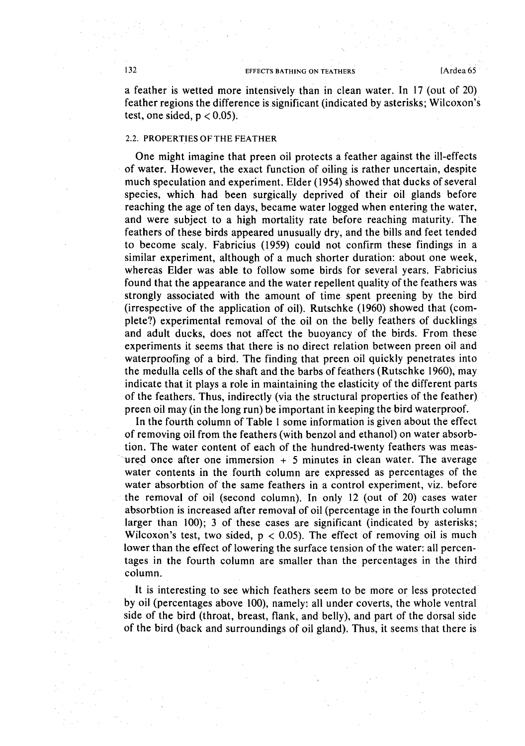a feather is wetted more intensively than in clean water. In 17 (out of 20) feather regions the difference is significant (indicated by asterisks; Wilcoxon's test, one sided,  $p < 0.05$ ).

### 2.2. PROPERTIES OF THE FEATHER

One might imagine that preen oil protects a feather against the ill-effects of water. However, the exact function of oiling is rather uncertain, despite much speculation and experiment. Elder (1954) showed that ducks of several species, which had been surgically deprived of their oil glands before reaching the age of ten days, became water logged when entering the water, and were subject to a high mortality rate before reaching maturity. The feathers of these birds appeared unusually dry, and the bills and feet tended to become scaly. Fabricius (1959) could not confirm these findings in a similar experiment, although of a much shorter duration: about one week, whereas Elder was able to follow some birds for several years. Fabricius found that the appearance and the water repellent quality of the feathers was strongly associated with the amount of time spent preening by the bird (irrespective of the application of oil). Rutschke (1960) showed that (complete?) experimental removal of the oil on the belly feathers of ducklings and adult ducks, does not affect the buoyancy of the birds. From these experiments it seems that there is no direct relation between preen oil and waterproofing of a bird. The finding that preen oil quickly penetrates into the medulla cells of the shaft and the barbs of feathers (Rutschke 1960), may indicate that it plays a role in maintaining the elasticity of the different parts of the feathers. Thus, indirectly (via the structural properties of the feather) preen oil may (in the long run) be important in keeping the bird waterproof.

In the fourth column of Table 1 some information is given about the effect of removing oil from the feathers (with benzol and ethanol) on water absorbtion. The water content of each of the hundred-twenty feathers was measured once after one immersion  $+5$  minutes in clean water. The average water contents in the fourth column are expressed as percentages of the water absorbtion of the same feathers in a control experiment, viz. before the removal of oil (second column). In only 12 (out of 20) cases water absorbtion is increased after removal of oil (percentage in the fourth column larger than 100); 3 of these cases are significant (indicated by asterisks; Wilcoxon's test, two sided,  $p < 0.05$ ). The effect of removing oil is much lower than the effect of lowering the surface tension of the water: all percentages in the fourth column are smaller than the percentages in the third column.

It is interesting to see which feathers seem to be more or less protected by oil (percentages above 100), namely: all under coverts, the whole ventral side of the bird (throat, breast, flank, and belly), and part of the dorsal side of the bird (back and surroundings of oil gland). Thus, it seemsthat there is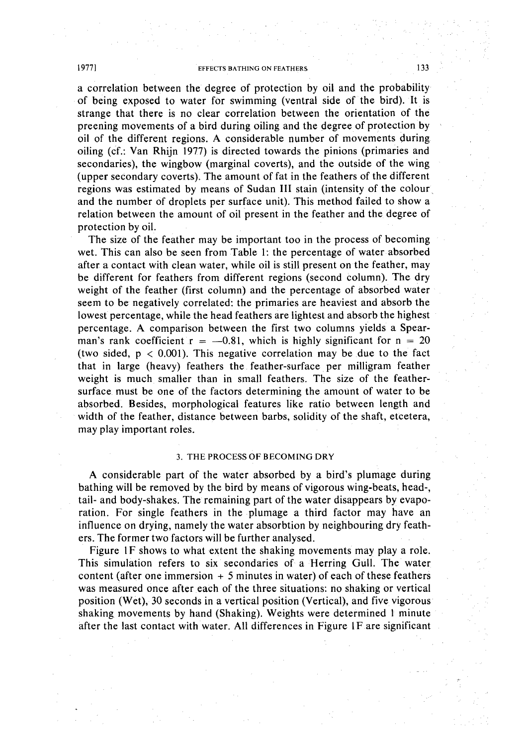a correlation between the degree of protection by oil and the probability of being exposed to water for swimming (ventral side of the bird). It is strange that there is no clear correlation between the orientation of the preening movements of a bird during oiling and the degree of protection by oil of the different regions. A considerable number of movements during oiling (cf.: Van Rhijn 1977) is directed towards the pinions (primaries and secondaries), the wingbow (marginal coverts), and the outside of the wing (upper secondary coverts). The amount of fat in the feathers of the different regions was estimated by means of Sudan **III** stain (intensity of the colour and the number of droplets per surface unit). This method failed to show a relation between the amount of oil present in the feather and the degree of protection by oil.

The size of the feather may be important too in the process of becoming wet. This can also be seen from Table I: the percentage of water absorbed after a contact with clean water, while oil is still present on the feather, may be different for feathers from different regions (second column). The dry weight of the feather (first column) and the percentage of absorbed water seem to be negatively correlated: the primaries are heaviest and absorb the lowest percentage, while the head feathers are lightest and absorb the highest percentage. A comparison between the first two columns yields a Spearman's rank coefficient  $r = -0.81$ , which is highly significant for  $n = 20$ (two sided,  $p < 0.001$ ). This negative correlation may be due to the fact that in large (heavy) feathers the feather-surface per milligram feather weight is much smaller than in small feathers. The size of the feathersurface. must be one of the factors determining the amount of water to be absorbed. Besides, morphological features like ratio between length and width of the feather, distance between barbs, solidity of the shaft, etcetera, may play important roles.

### 3. THE PROCESS OF BECOMING DRY

A considerable part of the water absorbed by a bird's plumage during bathing will be removed by the bird by means of vigorous wing-beats, head-, tail- and body-shakes. The remaining part of the water disappears by evaporation. For single feathers in the plumage a third factor may have an influence on drying, namely the water absorbtion by neighbouring dry feathers. The former two factors will be further analysed.

Figure IF shows to what extent the shaking movements may playa role. This simulation refers to six secondaries of a Herring Gull. The water content (after one immersion  $+5$  minutes in water) of each of these feathers was measured once after each of the three situations: no shaking or vertical position (Wet), 30 seconds in a vertical position (Vertical), and five vigorous shaking movements by hand (Shaking). Weights were determined 1 minute after the last contact with water. All differences in Figure 1F are significant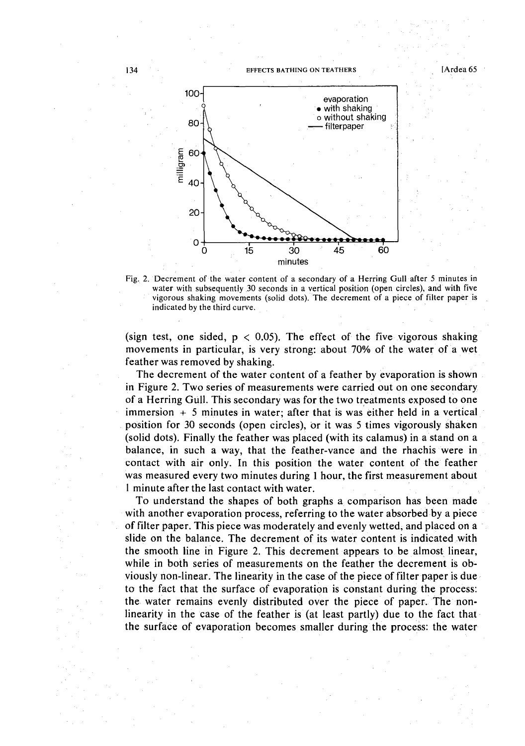

Fig. 2. Decrement of the water content of a secondary of a Herring Gull after 5 minutes in water with subsequently 30 seconds in a vertical position (open circles), and with five vigorous shaking movements (solid dots). The decrement of a piece of filter paper is indicated by the third curve. .

(sign test, one sided,  $p < 0.05$ ). The effect of the five vigorous shaking movements in particular, is very strong: about 70% of the water of a wet feather was removed by shaking.

The decrement of the water content of a feather by evaporation is shown in Figure 2. Two series of measurements were carried out on one secondary of a Herring Gull. This secondary was for the two treatments exposed to one  $immersion + 5 minutes in water; after that is was either held in a vertical$ position for 30 seconds (open circles), or it was 5 times vigorously shaken (solid dots). Finally the feather was placed (with its calamus) in a stand on a balance, in such a way, that the feather-vance and the rhachis were in contact with air only. In this position the water content of the feather was measured every two minutes during I hour, the first measurement about I minute after the last contact with water.

To understand the shapes of both graphs a comparison has been made with another evaporation process, referring to the water absorbed by a piece of filter paper. This piece was moderately and evenly wetted, and placed on a slide on the balance. The decrement of its water content is indicated with the smooth line in Figure 2. This decrement appears to be almost linear, while in both series of measurements on the feather the decrement is obviously non-linear. The linearity in the case of the piece of filter paper is due to the fact that the surface of evaporation is constant during the process: the water remains evenly distributed over the piece of paper. The nonlinearity in the case of the feather is (at least partly) due to the fact that· the surface of evaporation becomes smaller during the process: the water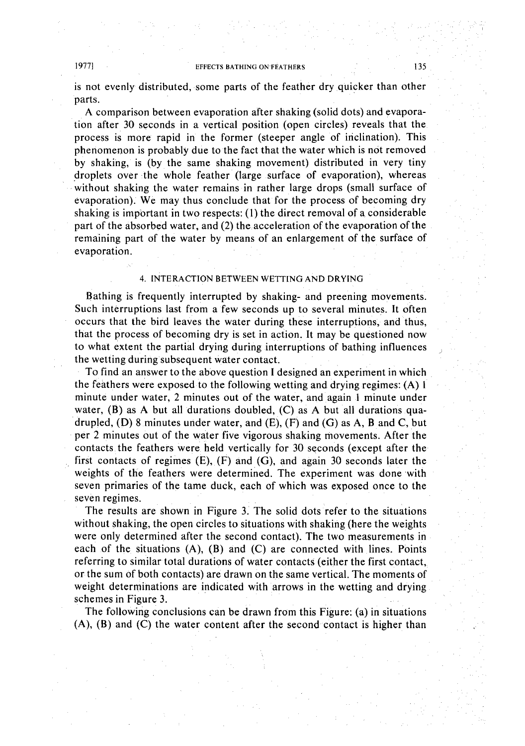is not evenly distributed, some parts of the feather dry quicker than other parts.

A comparison between evaporation after shaking (solid dots) and evaporation after 30 seconds in a vertical position (open circles) reveals that the process is more rapid in the former (steeper angle of inclination). This phenomenon is probably due to the fact that the water which is not removed by shaking, is (by the same shaking movement) distributed in very tiny .droplets over the whole feather (large surface of evaporation), whereas without shaking the water remains in rather large drops (small surface of evaporation). We may thus conclude that for the process of becoming dry shaking is important in two respects:  $(1)$  the direct removal of a considerable part of the absorbed water, and (2) the acceleration of the evaporation of the remaining part of the water by means of an enlargement of the surface of evaporation.

# 4. INTERACTION BETWEEN WETTING AND DRYING

Bathing is frequently interrupted by shaking- and preening movements. Such interruptions last from a few seconds up to several minutes. It often occurs that the bird leaves the water during these interruptions, and thus, that the process of becoming dry is set in action. It may be questioned now to what extent the partial drying during interruptions of bathing influences the wetting during subsequent water contact.

To find an answer to the above question I designed an experiment in which the feathers were exposed to the following wetting and drying regimes: (A) I minute under water, 2 minutes out of the water, and again 1 minute under water,  $(B)$  as A but all durations doubled,  $(C)$  as A but all durations quadrupled, (D) 8 minutes under water, and  $(E)$ ,  $(F)$  and  $(G)$  as A, B and C, but per 2 minutes out of the water five vigorous shaking movements. After the contacts the feathers were held vertically for 30 seconds (except after the first contacts of regimes  $(E)$ ,  $(F)$  and  $(G)$ , and again 30 seconds later the weights of the feathers were determined. The experiment was done with seven primaries of the tame duck, each of which was exposed once to the seven regimes.

The results are shown in Figure 3. The solid dots refer to the situations without shaking, the open circles to situations with shaking (here the weights were only determined after the second contact). The two measurements in each of the situations (A), (B) and (C) are connected with lines. Points referring to similar total durations of water contacts (either the first contact, or the sum of both contacts) are drawn on the same vertical. The moments of weight determinations are indicated with arrows in the wetting and drying schemes in Figure 3.

The following conclusions can be drawn from this Figure: (a) in situations (A), (B) and (C) the water content after the second contact is higher than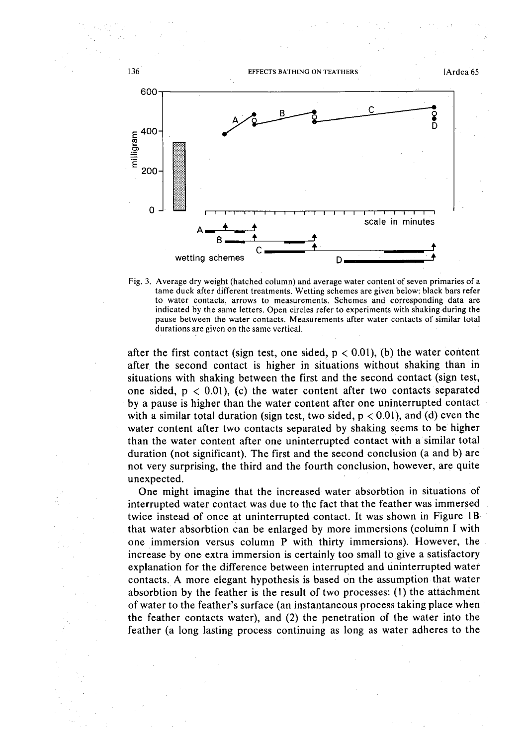

Fig. 3. Average dry weight (hatched column) and average water content of seven primaries of a tame duck after different treatments. Wetting schemes are given below: black bars refer to water contacts, arrows to measurements. Schemes and corresponding data are indicated by the same letters. Open circles refer to experiments with shaking during the pause between the water contacts. Measurements after water contacts of similar total durations are given on the same vertical.

after the first contact (sign test, one sided,  $p < 0.01$ ), (b) the water content after the second contact is higher in situations without shaking than· in situations with shaking between the first and the second contact (sign test, one sided,  $p < 0.01$ , (c) the water content after two contacts separated by a pause is higher than the water content after one uninterrupted contact with a similar total duration (sign test, two sided,  $p < 0.01$ ), and (d) even the water content after two contacts separated by shaking seems to be higher than the water content after one uninterrupted contact with a similar total duration (not significant). The first and the second conclusion (a and b) are not very surprising, the third and the fourth conclusion, however, are quite unexpected.

One might imagine that the increased water absorbtion in situations of interrupted water contact was due to the fact that the feather was immersed twice instead of once at uninterrupted contact. It was shown in Figure 1B that water absorbtion can be enlarged by more immersions (column I with one immersion versus column P with thirty immersions). However, the increase by one extra immersion is certainly too small to give a satisfactory explanation for the difference between interrupted and uninterrupted water contacts. A more elegant hypothesis is based on the assumption that water absorbtion by the feather is the result of two processes: (I) the attachment of water to the feather's surface (an instantaneous process taking place when the feather contacts water), and (2) the penetration of the water into the feather (a long lasting process continuing as long as water adheres to the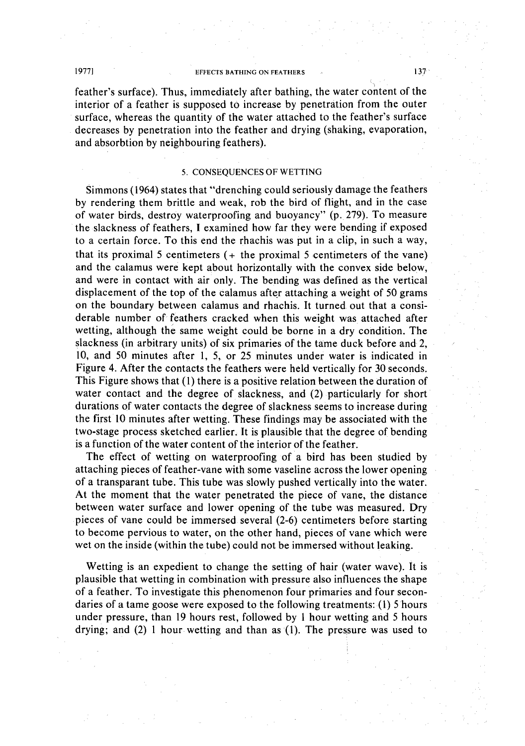feather's surface). Thus, immediately after bathing, the water content of the interior of a feather is supposed to increase by penetration from the outer surface, whereas the quantity of the water attached to the feather's surface decreases by penetration into the feather and drying (shaking, evaporation, and absorbtion by neighbouring feathers).

## 5. CONSEQUENCES OF WETTING

Simmons (1964) states that "drenching could seriously damage the feathers by rendering them brittle and weak, rob the bird of flight, and in the case of water birds, destroy waterproofing and buoyancy" (p. 279). To measure the slackness of feathers, I examined how far they were bending if exposed to a certain force. To this end the rhachis was put in a clip, in such a way, that its proximal 5 centimeters  $(+)$  the proximal 5 centimeters of the vane) and the calamus were kept about horizontally with the convex side below, and were in contact with air only. The bending was defined as the vertical displacement of the top of the calamus after attaching a weight of 50 grams on the boundary between calamus and rhachis. It turned out that a considerable number of feathers cracked when this weight was attached after wetting, although the same weight could be borne in a dry condition. The slackness (in arbitrary units) of six primaries of the tame duck before and 2, 10, and 50 minutes after 1, 5, or 25 minutes under water is indicated in Figure 4. After the contacts the feathers were held vertically for 30 seconds. This Figure shows that (I) there is a positive relation between the duration of water contact and the degree of slackness, and (2) particularly for short durations of water contacts the degree of slackness seems to increase during the first 10 minutes after wetting. These findings may be associated with the two-stage process sketched earlier. It is plausible that the degree of bending is a function of the water content of the interior of the feather.

The effect of wetting on waterproofing of a bird has been studied by attaching pieces of feather-vane with some vaseline across the lower opening of a transparant tube. This tube was slowly pushed vertically into the water. At the moment that the water penetrated the piece of vane, the distance between water surface and lower opening of the tube was measured. Dry pieces of vane could be immersed several (2-6) centimeters before starting to become pervious to water, on the other hand, pieces of vane which were wet on the inside (within the tube) could not be immersed without leaking.

Wetting is an expedient to change the setting of hair (water wave). It is plausible that wetting in combination with pressure also influences the shape of a feather. To investigate this phenomenon four primaries and four secondaries of a tame goose were exposed to the following treatments: (I) 5 hours under pressure, than 19 hours rest, followed by I hour wetting and 5 hours drying; and (2) 1 hour wetting and than as (I). The pressure was used to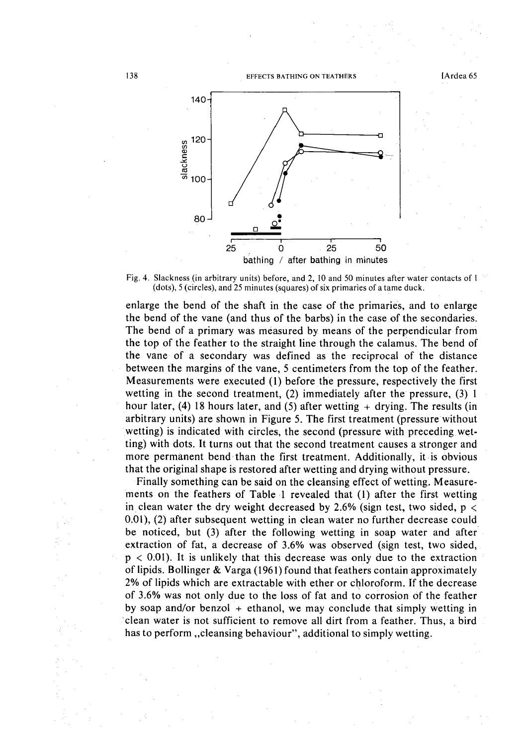

Fig. 4. Slackness (in arbitrary units) before, and 2, 10 and 50 minutes after water contacts of I  $(dots)$ , 5 (circles), and 25 minutes (squares) of six primaries of a tame duck.

enlarge the bend of the shaft in the case of the primaries, and to enlarge the bend of the vane (and thus of the barbs) in the case of the secondaries. The bend of a primary was measured by means of the perpendicular from the top of the feather to the straight line through the calamus. The bend of the vane of a secondary was defined as the reciprocal of the distance between the margins of the vane, 5 centimeters from the top of the feather. Measurements were executed (1) before the pressure, respectively the first wetting in the second treatment, (2) immediately after the pressure, (3) 1 hour later, (4) 18 hours later, and (5) after wetting  $+$  drying. The results (in arbitrary units) are shown in Figure 5. The first treatment (pressure without wetting) is indicated with circles, the second (pressure with preceding wetting) with dots. It turns out that the second treatment causes a stronger and more permanent bend· than the first treatment. Additionally, it is obvious that the original shape is restored after wetting and drying without pressure.

Finally something can be said on the cleansing effect of wetting. Measurements on the feathers of Table 1 revealed that (1) after the first wetting in clean water the dry weight decreased by 2.6% (sign test, two sided,  $p <$ 0.01), (2) after subsequent wetting in clean water no further decrease could be noticed, but (3) after the following wetting in soap water and after extraction of fat, a decrease of 3.6% was observed (sign test, two sided,  $p < 0.01$ ). It is unlikely that this decrease was only due to the extraction of lipids. Bollinger & Varga (1961) found that feathers contain approximately 2% of lipids which are extractable with ether or chloroform. If the decrease of 3.6% was not only due to the loss of fat and to corrosion of the feather by soap and/or benzol  $+$  ethanol, we may conclude that simply wetting in 'clean water is not sufficient to remove all dirt from a feather. Thus, a bird has to perform, cleansing behaviour", additional to simply wetting.

138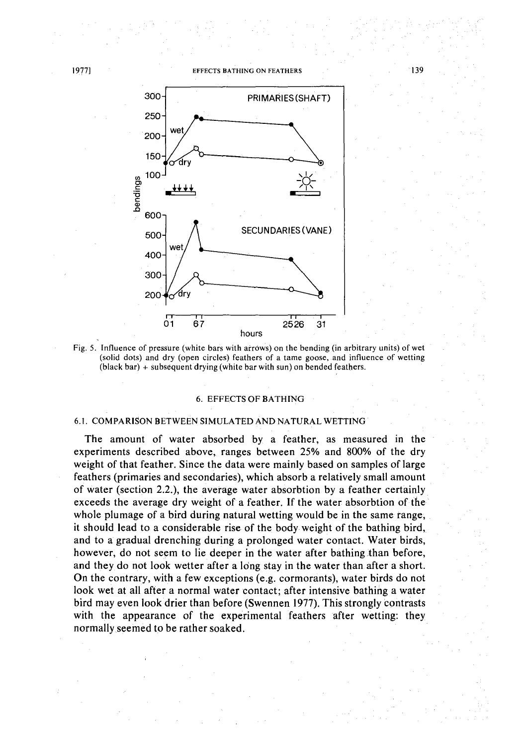139



Fig. 5. Influence of pressure (white bars with arrows) on the bending (in arbitrary units) of wet (solid dots) and dry (open circles) feathers of a tame goose,and influence of wetting  $(black bar) + subsequent drying (white bar with sun) on bended features.$ 

#### 6. EFFECTS OF BATHING

### 6.1. COMPARISON BETWEEN SIMULATED AND NATURAL WETTING

The amount of water absorbed by a feather, as measured in the experiments described above, ranges between 25% and 800% of the dry weight of that feather. Since the data were mainly based on samples of large feathers (primaries and secondaries), which absorb a relatively small amount of water (section 2.2.), the average water absorbtion by a feather certainly exceeds the average dry weight of a feather. If the water absorbtion of the whole plumage of a bird during natural wetting would be in the same range, it should lead to a considerable rise of the body weight of the bathing bird, and to a gradual drenching during a prolonged water contact. Water birds, however, do not seem to lie deeper in the water after bathing than before, and they do not look wetter after a long stay in the water than after a short. On the contrary, with a few exceptions (e.g. cormorants), water birds do not look wet at all after a normal water contact; after intensive bathing a water bird may even look drier than before (Swennen 1977). This strongly contrasts with the appearance of the experimental feathers after wetting: they normally seemed to be rather soaked.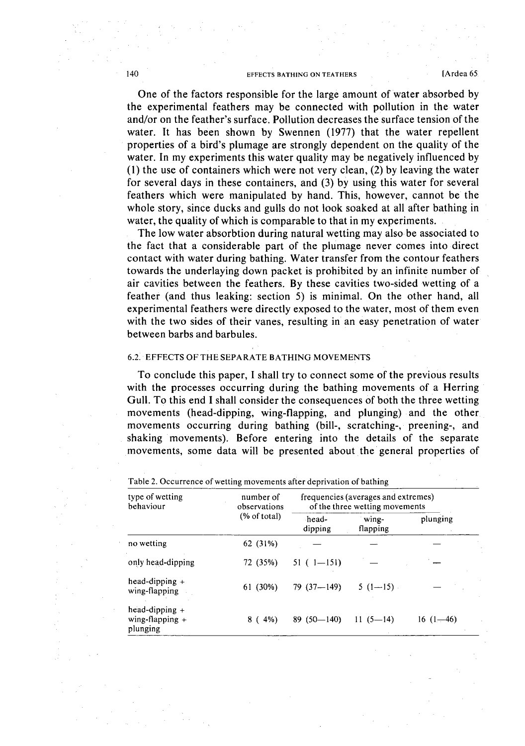One of the factors responsible for the large amount of water absorbed by the experimental feathers may be connected with pollution in the water and/or on the feather's surface. Pollution decreases the surface tension of the water. It has been shown by Swennen (1977) that the water repellent properties of a bird's plumage are strongly dependent on the quality of the water. In my experiments this water quality may be negatively influenced by (1) the use of containers which were not very clean, (2) by leaving the water for several days in these containers, and (3) by using this water for several feathers which were manipulated by hand. This, however, cannot be the whole story, since ducks and gulls do not look soaked at all after bathing in water, the quality of which is comparable to that in my experiments.

The low water absorbtion during natural wetting may also be associated to the fact that a considerable part of the plumage never comes into direct contact with water during bathing. Water transfer from the contour feathers towards the underlaying down packet is prohibited by an infinite number of air cavities between the feathers. By these cavities two-sided wetting of a feather (and thus leaking: section 5) is minimal. On the other hand, all experimental feathers were directly exposed to the water, most of them even with the two sides of their vanes, resulting in an easy penetration of water between barbs and barbules.

# 6.2. EFFECTS OF THE SEPARATE BATHING MOVEMENTS

To conclude this paper, I shall try to connect some of the previous results with the processes occurring during the bathing movements of a Herring Gull. To this end I shall consider the consequences of both the three wetting movements (head-dipping, wing-flapping, and plunging) and the other movements occurring during bathing (bill-, scratching-, preening-, and shaking movements). Before entering into the details of the separate movements, some data will be presented about the general properties of

| type of wetting<br>behaviour                      | number of<br>observations<br>(% of total) | frequencies (averages and extremes)<br>of the three wetting movements |                   |            |
|---------------------------------------------------|-------------------------------------------|-----------------------------------------------------------------------|-------------------|------------|
|                                                   |                                           | head-<br>dipping                                                      | wing-<br>flapping | plunging   |
| no wetting                                        | 62 (31%)                                  |                                                                       |                   |            |
| only head-dipping                                 | 72 (35%)                                  | $51(1 - 151)$                                                         |                   |            |
| head-dipping $+$<br>wing-flapping                 | 61 (30%)                                  | $79(37 - 149)$                                                        | $5(1-15)$ .       |            |
| head-dipping $+$<br>wing-flapping $+$<br>plunging | $8(4\%)$                                  | $89(50 - 140)$                                                        | $11(5-14)$        | $16(1-46)$ |

Table 2. Occurrence of wetting movements after deprivation of bathing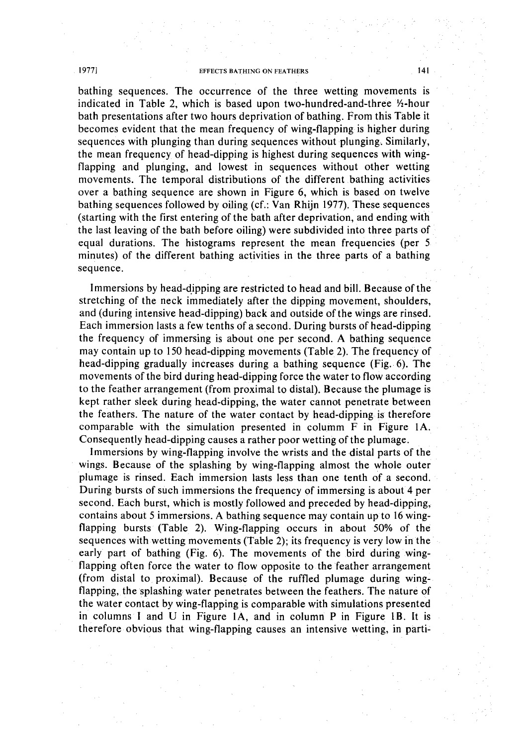bathing sequences. The occurrence of the three wetting movements is indicated in Table 2, which is based upon two-hundred-and-three 1/2-hour bath presentations after two hours deprivation of bathing. From this Table it becomes evident that the mean frequency of wing-flapping is higher during sequences with plunging than during sequences without plunging. Similarly, the mean frequency of head-dipping is highest during sequences with wingflapping and plunging, and lowest in sequences without other wetting movements. The temporal distributions of the different bathing activities over a bathing sequence are shown in Figure 6, which is based on twelve bathing sequences followed by oiling (cf.: Van Rhijn 1977). These sequences (starting with the first entering of the bath after deprivation, and ending with the last leaving of the bath before oiling) were subdivided into three parts of equal durations. The histograms represent the mean frequencies (per 5 minutes) of the different bathing activities in the three parts of a bathing sequence.

Immersions by head-dipping are restricted to head and bill. Because of the stretching of the neck immediately after the dipping movement, shoulders, and (during intensive head-dipping) back and outside ofthe wings are rinsed. Each immersion lasts a few tenths of a second. During bursts of head-dipping the frequency of immersing is about one per second. A bathing sequence may contain upto 150 head-dipping movements (Table2). The frequency of head-dipping gradually increases during a bathing sequence (Fig. 6). The movements of the bird during head-dipping force the water to flow according to the feather arrangement (from proximal to distal). Because the plumage is kept rather sleek during head-dipping, the water cannot penetrate between the feathers. The nature of the water contact by head-dipping is therefore comparable with the simulation presented in column  $F$  in Figure 1A. Consequently head-dipping causes a rather poor wetting of the plumage.

Immersions by wing-flapping involve the wrists and the distal parts of the wings. Because of the splashing by wing-flapping almost the whole outer plumage is rinsed. Each immersion lasts less than one tenth of a second. During bursts of such immersions the frequency of immersing is about 4 per second. Each burst, which is mostly followed and preceded by head-dipping, contains about 5 immersions. A bathing sequence may contain upto 16 wingflapping bursts (Table 2). Wing-flapping occurs in about 50% of the sequences with wetting movements (Table 2); its frequency is very low in the early part of bathing (Fig. 6). The movements of the bird during wingflapping often force the water to flow opposite to the feather arrangement (from distal to proximal). Because of the ruffled plumage during wingflapping, the splashing water penetrates between the feathers. The nature of the water contact by wing-flapping is comparable with simulations presented in columns I and U in Figure lA, and in column P in Figure lB. It is therefore obvious that wing-flapping causes an intensive wetting, in parti-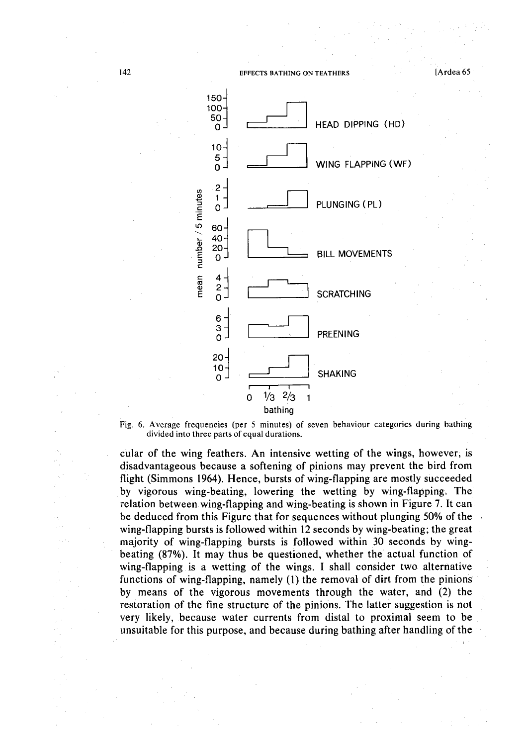

Fig. 6. Average frequencies (per 5 minutes) of seven behaviour categories during bathing divided into three parts of equal durations.

cular of the wing feathers. An intensive wetting of the wings, however; is disadvantageous because a softening of pinions may prevent the bird from flight (Simmons 1964). Hence, bursts of wing-flapping are mostly succeeded by vigorous wing-beating, lowering the wetting by wing-flapping. The relation between wing-flapping and wing-beating is shown in Figure 7. It can be deduced from this Figure that for sequences without plunging 50% of the wing-flapping bursts is followed within 12 seconds by wing-beating; the great majority of wing-flapping bursts is followed within 30 seconds by wingbeating (87%). It may thus be questioned, whether the actual function of wing-flapping is a wetting of the wings. I shall consider two alternative functions of wing-flapping, namely (1) the removal of dirt from the pinions by means of the vigorous movements through the water, and (2) the restoration of the fine structure of the pinions. The latter suggestion is not very likely, because water currents from distal to proximal seem to be unsuitable for this purpose, and because during bathing after handling of the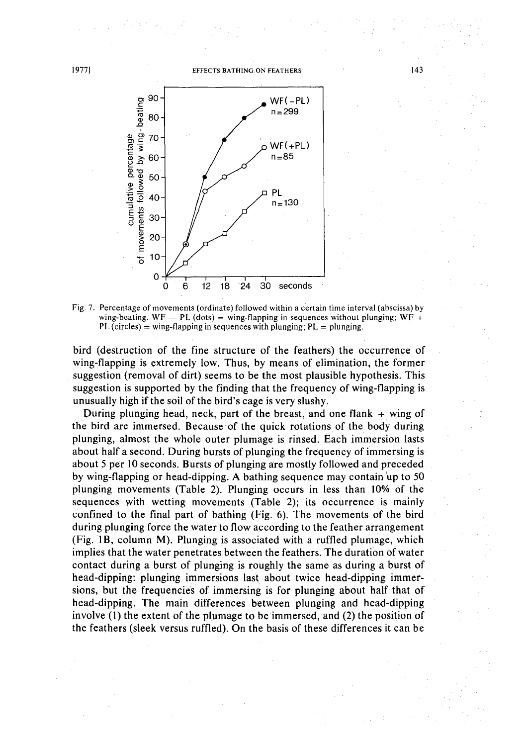

Fig. 7. Percentage of movements (ordinate) followed within a certain time interval (abscissa) by wing-beating. WF - PL (dots) = wing-flapping in sequences without plunging; WF + PL (circles) = wing-flapping in sequences with plunging;  $PL =$  plunging.

bird (destruction of the fine structure of the feathers) the occurrence of wing-flapping is extremely low. Thus, by means of elimination, the former suggestion (removal of dirt) seems to be the most plausible hypothesis. This suggestion is supported by the finding that the frequency of wing-flapping is unusually high if the soil of the bird's cage is very slushy.

During plunging head, neck, part of the breast, and one flank  $+$  wing of the bird are immersed. Because of the quick rotations of the body during plunging, almost the whole outer plumage is rinsed. Each immersion lasts about half a second: During bursts of plunging the frequency of immersing is about 5 per 10 seconds. Bursts of plunging are mostly followed and preceded by wing-flapping or head~dipping.A bathing sequence may contain 'up to 50 plunging movements (Table 2). Plunging occurs in less than 10% of the sequences with wetting movements (Table 2); its occurrence is mainly confined to the final part of bathing (Fig. 6). The movements of the bird during plunging force the water to flow according to the feather arrangement (Fig. IB, column M). Plunging is associated with a ruffled plumage, which implies that the water penetrates between the feathers. The duration of water contact during a burst of plunging is roughly the same as during a burst of head-dipping: plunging immersions last about twice head-dipping immersions, but the frequencies of immersing is for plunging about half that of head-dipping. The main differences between plunging and head-dipping involve  $(1)$  the extent of the plumage to be immersed, and  $(2)$  the position of the feathers (sleek versus ruffled). On the basis of these differences it can be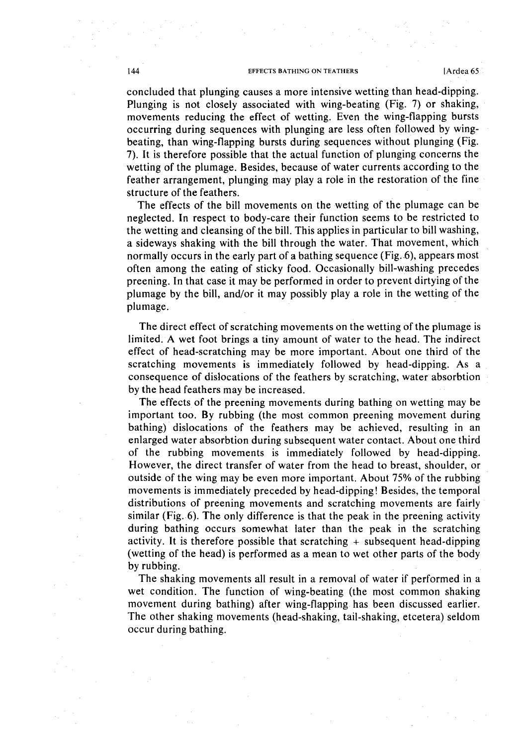concluded that plunging causes a more intensive wetting than head-dipping.

Plunging is not closely associated with wing-beating (Fig. 7) or shaking, movements reducing the effect of wetting. Even the wing-flapping bursts occurring during sequences with plunging are less often followed by wingbeating, than wing-flapping bursts during sequences without plunging (Fig. 7). It is therefore possible that the actual function of plunging concerns the wetting of the plumage. Besides, because of water currents according to the feather arrangement, plunging may playa role in the restoration of the fine structure of the feathers.

The effects of the bill movements on the wetting of the plumage can be neglected. In respect to body-care their function seems to be restricted to the wetting and cleansing of the bill. This applies in particular to bill washing, a sideways shaking with the bill through the water. That movement, which normally occurs in the early part of a bathing sequence (Fig..6), appears most often among the eating of sticky food. Occasionally bill-washing precedes preening. In that case it may be performed in order to prevent dirtying of the plumage by the bill, and/or it may possibly playa role in the wetting of the plumage.

The direct effect of scratching movements on the wetting of the plumage is limited. A wet foot brings a tiny amount of water to the head. The indirect effect of head-scratching may be more important. About one third of the scratching movements is immediately followed by head-dipping. As a consequence of dislocations of the feathers by scratching, water absorbtion by the head feathers may be increased.

The effects of the preening movements during bathing on wetting may be important too. By rubbing (the most common preening movement during bathing) dislocations of the feathers may be achieved, resulting in an enlarged water absorbtion during subsequent water contact. About one third of the rubbing movements is immediately followed by head-dipping. However, the direct transfer of water from the head to breast, shoulder, or outside of the wing may be even more important. About 75% of the rubbing movements is immediately preceded by head-dipping! Besides, the temporal distributions of preening movements and scratching movements are fairly similar (Fig. 6). The only difference is that the peak in the preening activity during bathing occurs somewhat later than the peak in the scratching activity. It is therefore possible that scratching  $+$  subsequent head-dipping (wetting of the head) is performed as a mean to wet other parts of the body by rubbing.

The shaking movements all result in a removal of water if performed in a wet condition. The function of wing-beating (the most common shaking movement during bathing) after wing-flapping has been discussed earlier. The other shaking movements (head-shaking, tail-shaking, etcetera) seldom occur during bathing.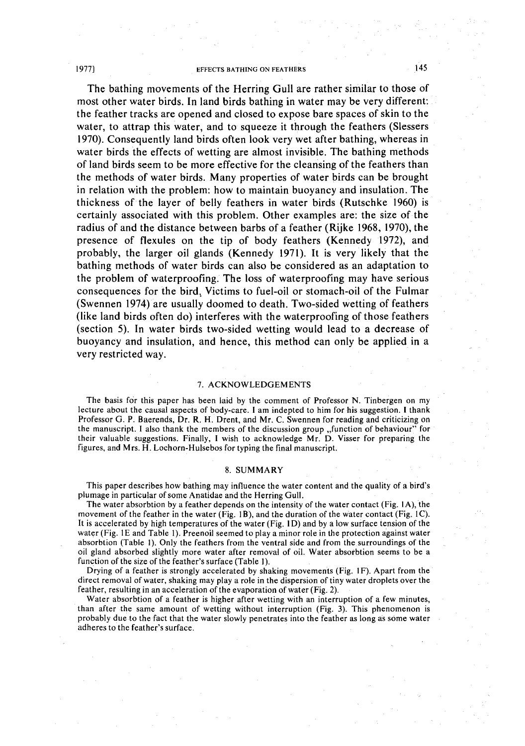The bathing movements of the Herring Gull are rather similar to those of most other water birds. **In** land birds bathing in water may be very different: the feather tracks are opened and closed to expose bare spaces of skin to the water, to attrap this water, and to squeeze it through the feathers (Slessers 1970). Consequently land birds often look very wet after bathing, whereas in water birds the effects of wetting are almost invisible. The bathing methods of land birds seem to be more effective for the cleansing of the feathers than the methods of water birds. Many properties of water birds can be brought in relation with the problem: how to maintain buoyancy and insulation. The thickness of the layer of belly feathers in water birds (Rutschke 1960) is certainly associated with this problem. Other examples are: the size of the radius of and the distance between barbs of a feather (Rijke 1968, 1970), the presence of flexules on the tip of body feathers (Kennedy 1972), and probably, the larger oil glands (Kennedy 1971). It is very likely that the bathing methods of water birds can also be considered as an adaptation to the problem of waterproofing. The loss of waterproofing may have serious consequences for the bird, Victims to fuel-oil or stomach-oil of the Fulmar (Swennen 1974) are usually doomed to death. Two-sided wetting of feathers (like land birds often do) interferes with the waterproofing of those feathers (section 5). **In** water birds two-sided wetting would lead to a decrease of buoyancy and insulation, and hence, this method can only be applied in a very restricted way.

## 7. ACKNOWLEDGEMENTS

The basis for this paper has been laid by the comment of Professor N. Tinbergen on my lecture about the causal aspects of body-care. I am indepted to him for his suggestion. I thank Professor G. P. Baerends, Dr. R. H. Drent, and Mr. C. Swennen for reading and criticizing on the manuscript. I also thank the members of the discussion group "function of behaviour" for their valuable suggestions. Finally, I wish to acknowledge Mr. D. Visser for preparing the figures, and Mrs. H. Lochorn-Hulsebos for typing the final manuscript.

#### 8. SUMMARY

This paper describes how bathing may influence the water content and the quality of a bird's plumage in particular of some Anatidae and the Herring Gull.

The water absorbtion by a feather depends on the intensity of the water contact (Fig. IA), the movement of the feather in the water (Fig. IB), and the duration of the water contact (Fig. IC). It is accelerated by high temperatures of the water (Fig. ID) and by a low surface tension of the water (Fig. IE and Table I). Preenoil seemed to playa minorrole in the protection against water absorbtion (Table I). Only the feathers from the ventral side and from the surroundings of the oil gland absorbed slightly more water after removal of oil. Water absorbtion seems to be a function of the size of the feather's surface (Table I).

Drying of a feather is strongly accelerated by shaking movements (Fig. IF). Apart from the direct removal of water, shaking may playa role in the dispersion of tiny water droplets over the feather, resulting in an acceleration of the evaporation of water (Fig. 2).

Water absorbtion of a feather is higher after wetting with an interruption of a few minutes, than after the same amount of wetting without interruption (Fig. 3). This phenomenon is probably dueto the fact that the water slowly penetrates into the feather as long as some water adheres to the feather's surface.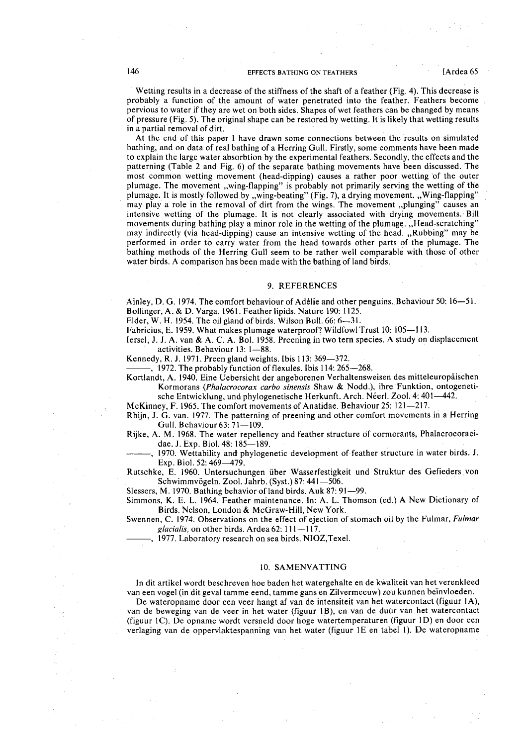Wetting results in a decrease of the stiffness of the shaft of a feather (Fig. 4). This decrease is probably a function of the amount of water penetrated into the feather. Feathers become pervious to water if they are wet on both sides. Shapes of wet feathers can be changed by means of pressure (Fig. 5). The original shape can be restored by wetting. It is likely that wetting results in a partial removal of dirt.

At the end of this paper I have drawn some connections between the results on simulated bathing, and on data of real bathing of a Herring Gull. Firstly, some comments have been made to explain the large water absorbtion by the experimental feathers. Secondly, the effects and the patterning (Table 2 and Fig. 6) of the separate bathing movements have been discussed. The most common wetting movement (head-dipping) causes a rather poor wetting 'of the outer plumage. The movement "wing-flapping" is probably not primarily serving the wetting of the plumage. It is mostly followed by "wing-beating" (Fig. 7), a drying movement. "Wing-flapping" may play a role in the removal of dirt from the wings. The movement "plunging" causes an intensive wetting of the plumage. It is not clearly associated with drying movements.' Bill movements during bathing play a minor role in the wetting of the plumage. "Head-scratching" may indirectly (via head-dipping) cause an intensive wetting of the head. "Rubbing" may be performed in order to carry water from the head towards other parts of the plumage. The bathing methods of the Herring Gull seem to be rather well comparable with those of other water birds. A comparison has been made with the bathing of land birds.

#### 9. REFERENCES

Ainley, D. G. 1974. The comfort behaviour of Adélie and other penguins. Behaviour 50: 16-51. Bollinger, A. & D. Varga. 1961. Feather lipids. Nature 190: 1125.

Elder, W. H. 1954. The oil gland of birds. Wilson Bull.  $66: 6-31$ .

Fabricius, E. 1959. What makes plumage waterproof? Wildfowl Trust 10: 105-113.

lersel, J. J. A. van & A. C. A. Bol. 1958. Preening in two tern species. A study on displacement activities. Behaviour 13: 1-88.

Kennedy, R. J. 1971. Preen gland weights. Ibis 113: 369–372.

 $-$ , 1972. The probably function of flexules. Ibis 114: 265 $-$ 268.

Kortlandt, A. 1940. Eine Uebersicht der angeborenen Verhaltensweisen des mitteleuropäischen Kormorans *(Phalacrocorax carbo sinensis* Shaw & Nodd.), ihre Funktion, ontogenetische Entwicklung, und phylogenetische Herkunft. Arch. Néerl. Zool. 4: 401-442.

McKinney, F. 1965. The comfort movements of Anatidae. Behaviour 25: 121–217.

Rhijn, J. G. van. 1977. The patterning of preening and other comfort movements in a Herring Gull. Behaviour 63: 71-109.

Rijke, A. M. 1968. The water repellency and feather structure of cormorants, Phalacrocoracidae. J. Exp. Biol. 48: 185-189.

1970. Wettability and phylogenetic development of feather structure in water birds. J. Exp. Biol. 52: 469-479.

Rutschke, E. 1960. Untersuchungen iiber Wasserfestigkeit und Struktur des Gefieders von Schwimmvögeln. Zool. Jahrb. (Syst.) 87:  $441-506$ .

Slessers, M. 1970. Bathing behavior of land birds. Auk 87: 91-99.

Simmons, K. E. L. 1964. Feather maintenance. In: A. L. Thomson (ed.) A New Dictionary of Birds. Nelson, London & McGraw-Hill, New York.

Swennen, C. 1974. Observations on the effect of ejection of stomach oil by the Fulmar, *Fulmar* glacialis, on other birds. Ardea 62: 111-117.

1977. Laboratory research on sea birds. NIOZ, Texel.

#### 10. SAMENVATTING

In dit artikel wordt beschreven hoe baden het watergehalte en de kwaliteit van het verenkleed van een vogel (in dit geval tamme eend, tamme gans en Zilvermeeuw) zou kunnen beinvloeden.

De wateropname door een veer hangt af van de intensiteit van het watercontact (figuur 1A), van de beweging van de veer in het water (figuur IB), en van de duur van het watercontact (figuur IC). De opname wordt versneld door hoge watertemperaturen (figuur ID) en door een verlaging van de oppervlaktespanning van het water (figuur IE en tabel I). De wateropname